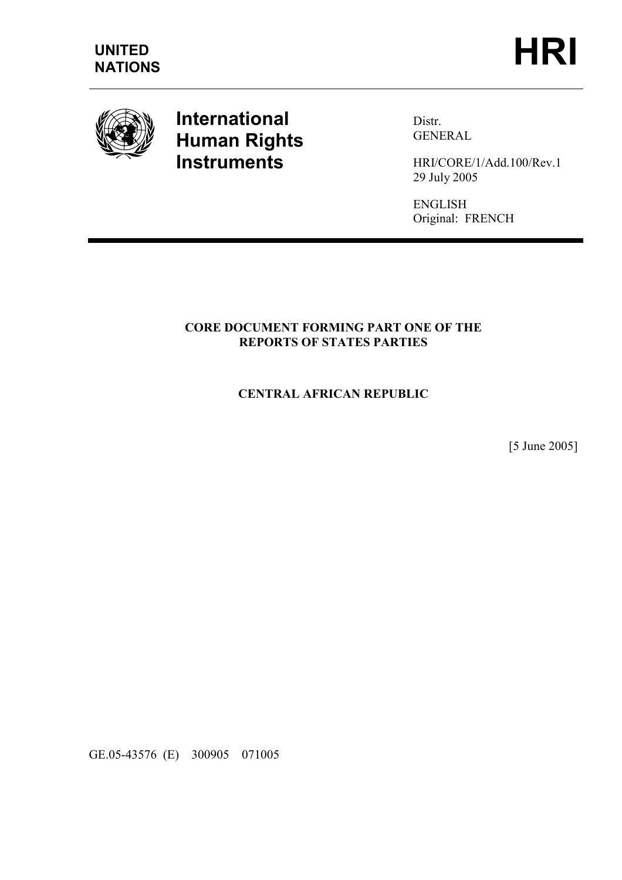

## International Human Rights **Instruments**

Distr. GENERAL

HRI/CORE/1/Add.100/Rev.1 29 July 2005

ENGLISH Original: FRENCH

## CORE DOCUMENT FORMING PART ONE OF THE REPORTS OF STATES PARTIES

## CENTRAL AFRICAN REPUBLIC

[5 June 2005]

GE.05-43576 (E) 300905 071005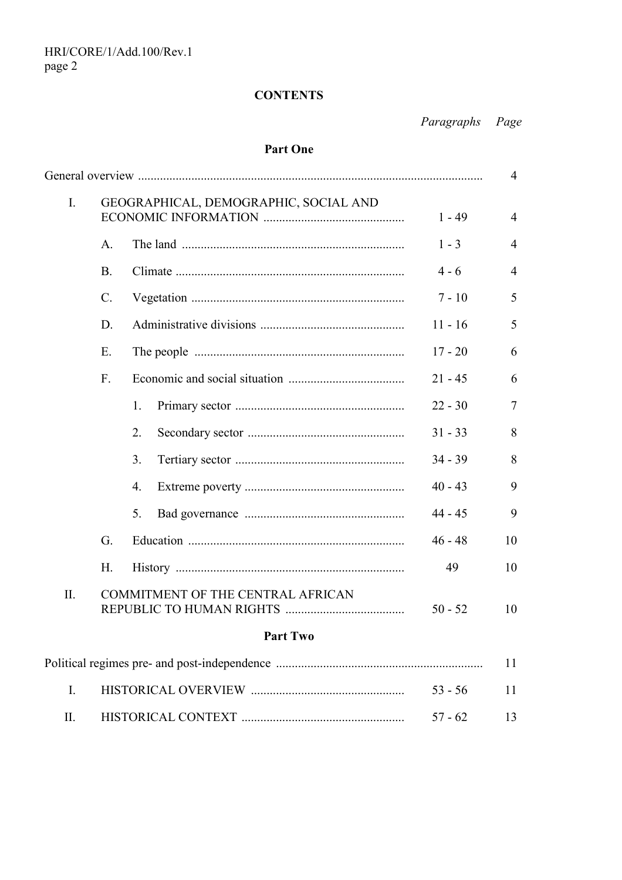## **CONTENTS**

Paragraphs Page

## Part One

|                                          |                 |                                       | $\overline{4}$         |  |
|------------------------------------------|-----------------|---------------------------------------|------------------------|--|
|                                          |                 | $1 - 49$                              | $\overline{4}$         |  |
| A.                                       |                 | $1 - 3$                               | $\overline{4}$         |  |
| <b>B.</b>                                |                 | $4 - 6$                               | $\overline{4}$         |  |
| $\mathcal{C}$ .                          |                 | $7 - 10$                              | 5                      |  |
| D.                                       |                 | $11 - 16$                             | 5                      |  |
| Ε.                                       |                 | $17 - 20$                             | 6                      |  |
| $F_{\cdot}$                              |                 | $21 - 45$                             | 6                      |  |
|                                          | 1.              | $22 - 30$                             | $\overline{7}$         |  |
|                                          | 2.              | $31 - 33$                             | 8                      |  |
|                                          | 3.              | $34 - 39$                             | 8                      |  |
|                                          | 4.              | $40 - 43$                             | 9                      |  |
|                                          | 5.              | $44 - 45$                             | 9                      |  |
| G.                                       |                 | $46 - 48$                             | 10                     |  |
| H.                                       |                 | 49                                    | 10                     |  |
| II.<br>COMMITMENT OF THE CENTRAL AFRICAN |                 |                                       | 10                     |  |
|                                          | <b>Part Two</b> |                                       |                        |  |
|                                          |                 |                                       | 11                     |  |
|                                          |                 | $53 - 56$                             | 11                     |  |
|                                          |                 |                                       |                        |  |
|                                          |                 | GEOGRAPHICAL, DEMOGRAPHIC, SOCIAL AND | $50 - 52$<br>$57 - 62$ |  |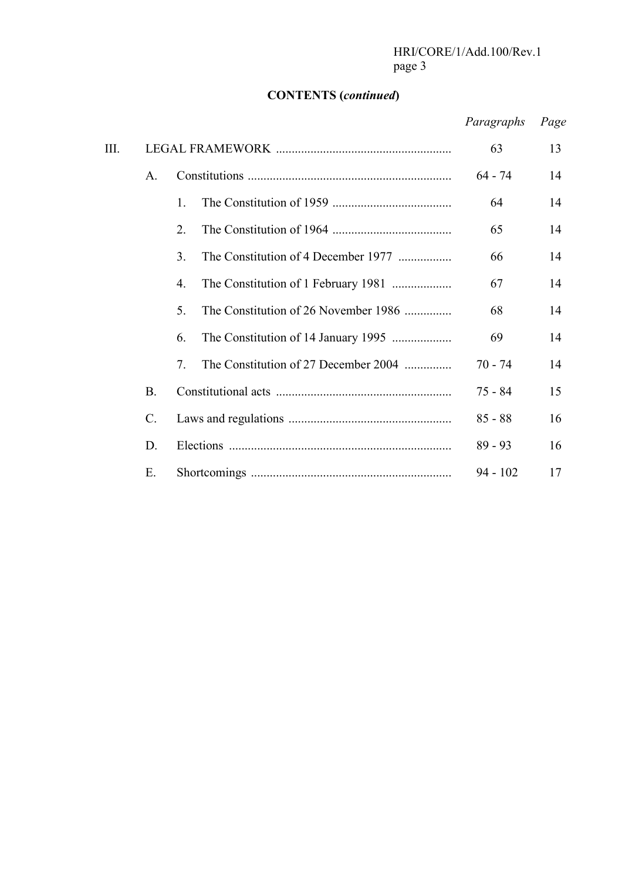#### CONTENTS (continued)

# Paragraphs Page III. LEGAL FRAMEWORK ........................................................ 63 13 A. Constitutions ................................................................. 64 - 74 14 1. The Constitution of 1959 ...................................... 64 14 2. The Constitution of 1964 ...................................... 65 14 3. The Constitution of 4 December 1977 ................. 66 14 4. The Constitution of 1 February 1981 ................... 67 14 5. The Constitution of 26 November 1986 ............... 68 14 6. The Constitution of 14 January 1995 ................... 69 14 7. The Constitution of 27 December 2004 ............... 70 - 74 14 B. Constitutional acts ........................................................ 75 - 84 15 C. Laws and regulations .................................................... 85 - 88 16 D. Elections ....................................................................... 89 - 93 16 E. Shortcomings ................................................................ 94 - 102 17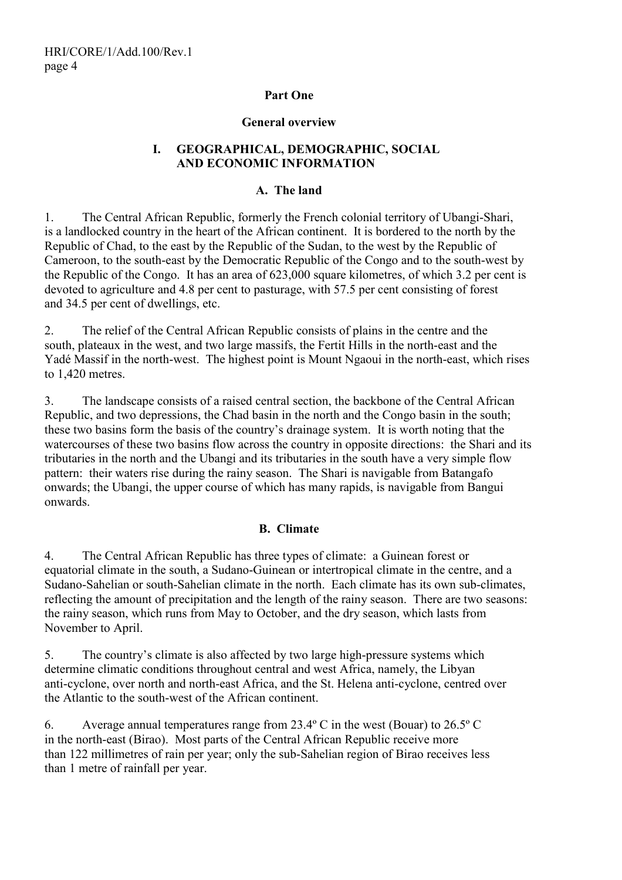#### Part One

#### General overview

#### I. GEOGRAPHICAL, DEMOGRAPHIC, SOCIAL AND ECONOMIC INFORMATION

#### A. The land

1. The Central African Republic, formerly the French colonial territory of Ubangi-Shari, is a landlocked country in the heart of the African continent. It is bordered to the north by the Republic of Chad, to the east by the Republic of the Sudan, to the west by the Republic of Cameroon, to the south-east by the Democratic Republic of the Congo and to the south-west by the Republic of the Congo. It has an area of 623,000 square kilometres, of which 3.2 per cent is devoted to agriculture and 4.8 per cent to pasturage, with 57.5 per cent consisting of forest and 34.5 per cent of dwellings, etc.

2. The relief of the Central African Republic consists of plains in the centre and the south, plateaux in the west, and two large massifs, the Fertit Hills in the north-east and the Yadé Massif in the north-west. The highest point is Mount Ngaoui in the north-east, which rises to 1,420 metres.

3. The landscape consists of a raised central section, the backbone of the Central African Republic, and two depressions, the Chad basin in the north and the Congo basin in the south; these two basins form the basis of the country's drainage system. It is worth noting that the watercourses of these two basins flow across the country in opposite directions: the Shari and its tributaries in the north and the Ubangi and its tributaries in the south have a very simple flow pattern: their waters rise during the rainy season. The Shari is navigable from Batangafo onwards; the Ubangi, the upper course of which has many rapids, is navigable from Bangui onwards.

#### B. Climate

4. The Central African Republic has three types of climate: a Guinean forest or equatorial climate in the south, a Sudano-Guinean or intertropical climate in the centre, and a Sudano-Sahelian or south-Sahelian climate in the north. Each climate has its own sub-climates, reflecting the amount of precipitation and the length of the rainy season. There are two seasons: the rainy season, which runs from May to October, and the dry season, which lasts from November to April.

5. The country's climate is also affected by two large high-pressure systems which determine climatic conditions throughout central and west Africa, namely, the Libyan anti-cyclone, over north and north-east Africa, and the St. Helena anti-cyclone, centred over the Atlantic to the south-west of the African continent.

6. Average annual temperatures range from 23.4º C in the west (Bouar) to 26.5º C in the north-east (Birao). Most parts of the Central African Republic receive more than 122 millimetres of rain per year; only the sub-Sahelian region of Birao receives less than 1 metre of rainfall per year.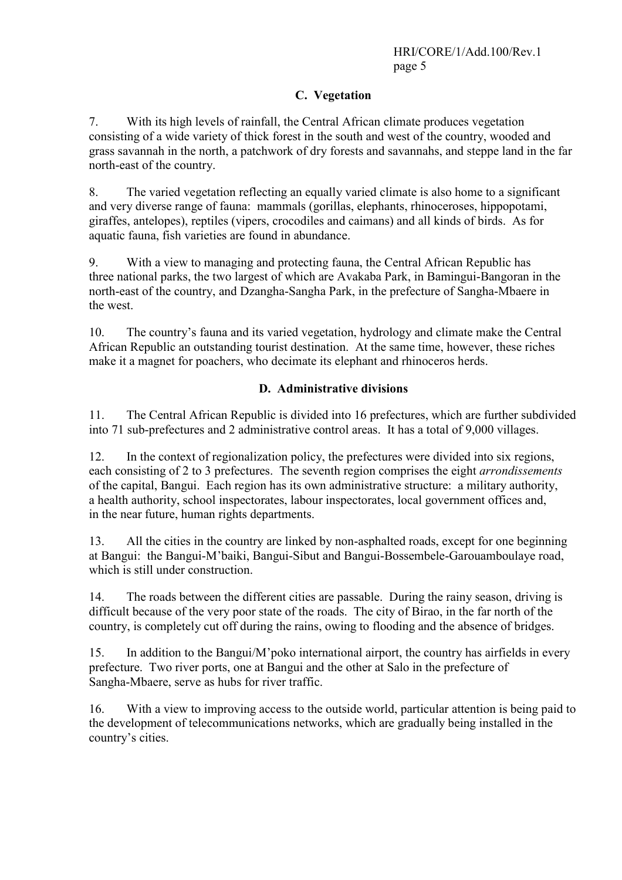## C. Vegetation

7. With its high levels of rainfall, the Central African climate produces vegetation consisting of a wide variety of thick forest in the south and west of the country, wooded and grass savannah in the north, a patchwork of dry forests and savannahs, and steppe land in the far north-east of the country.

8. The varied vegetation reflecting an equally varied climate is also home to a significant and very diverse range of fauna: mammals (gorillas, elephants, rhinoceroses, hippopotami, giraffes, antelopes), reptiles (vipers, crocodiles and caimans) and all kinds of birds. As for aquatic fauna, fish varieties are found in abundance.

9. With a view to managing and protecting fauna, the Central African Republic has three national parks, the two largest of which are Avakaba Park, in Bamingui-Bangoran in the north-east of the country, and Dzangha-Sangha Park, in the prefecture of Sangha-Mbaere in the west.

10. The country's fauna and its varied vegetation, hydrology and climate make the Central African Republic an outstanding tourist destination. At the same time, however, these riches make it a magnet for poachers, who decimate its elephant and rhinoceros herds.

## D. Administrative divisions

11. The Central African Republic is divided into 16 prefectures, which are further subdivided into 71 sub-prefectures and 2 administrative control areas. It has a total of 9,000 villages.

12. In the context of regionalization policy, the prefectures were divided into six regions, each consisting of 2 to 3 prefectures. The seventh region comprises the eight arrondissements of the capital, Bangui. Each region has its own administrative structure: a military authority, a health authority, school inspectorates, labour inspectorates, local government offices and, in the near future, human rights departments.

13. All the cities in the country are linked by non-asphalted roads, except for one beginning at Bangui: the Bangui-M'baiki, Bangui-Sibut and Bangui-Bossembele-Garouamboulaye road, which is still under construction.

14. The roads between the different cities are passable. During the rainy season, driving is difficult because of the very poor state of the roads. The city of Birao, in the far north of the country, is completely cut off during the rains, owing to flooding and the absence of bridges.

15. In addition to the Bangui/M'poko international airport, the country has airfields in every prefecture. Two river ports, one at Bangui and the other at Salo in the prefecture of Sangha-Mbaere, serve as hubs for river traffic.

16. With a view to improving access to the outside world, particular attention is being paid to the development of telecommunications networks, which are gradually being installed in the country's cities.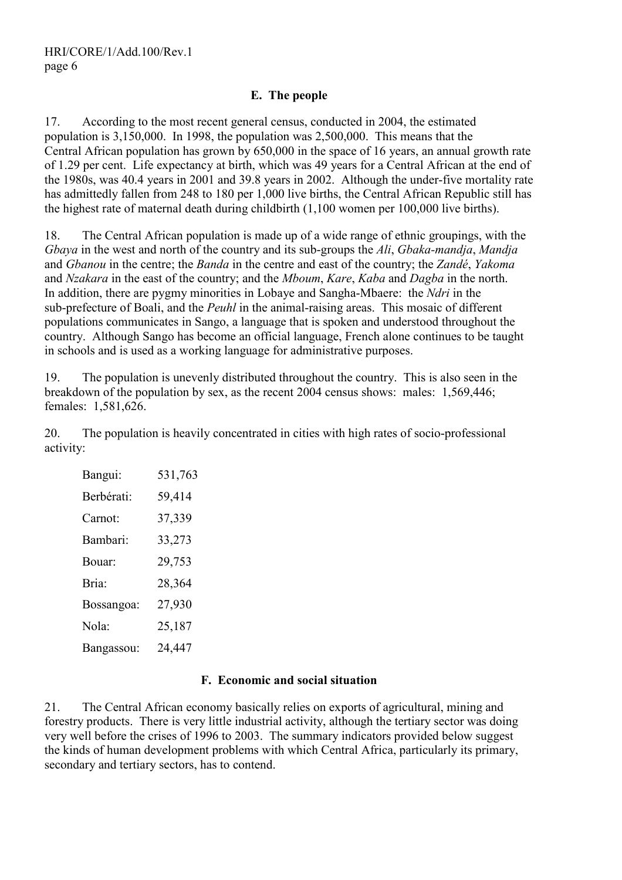## E. The people

17. According to the most recent general census, conducted in 2004, the estimated population is 3,150,000. In 1998, the population was 2,500,000. This means that the Central African population has grown by 650,000 in the space of 16 years, an annual growth rate of 1.29 per cent. Life expectancy at birth, which was 49 years for a Central African at the end of the 1980s, was 40.4 years in 2001 and 39.8 years in 2002. Although the under-five mortality rate has admittedly fallen from 248 to 180 per 1,000 live births, the Central African Republic still has the highest rate of maternal death during childbirth (1,100 women per 100,000 live births).

18. The Central African population is made up of a wide range of ethnic groupings, with the Gbaya in the west and north of the country and its sub-groups the Ali, Gbaka-mandja, Mandja and Gbanou in the centre; the Banda in the centre and east of the country; the Zandé, Yakoma and Nzakara in the east of the country; and the Mboum, Kare, Kaba and Dagba in the north. In addition, there are pygmy minorities in Lobaye and Sangha-Mbaere: the *Ndri* in the sub-prefecture of Boali, and the *Peuhl* in the animal-raising areas. This mosaic of different populations communicates in Sango, a language that is spoken and understood throughout the country. Although Sango has become an official language, French alone continues to be taught in schools and is used as a working language for administrative purposes.

19. The population is unevenly distributed throughout the country. This is also seen in the breakdown of the population by sex, as the recent 2004 census shows: males: 1,569,446; females: 1,581,626.

20. The population is heavily concentrated in cities with high rates of socio-professional activity:

| Bangui:    | 531,763 |
|------------|---------|
| Berbérati: | 59,414  |
| Carnot:    | 37,339  |
| Bambari:   | 33,273  |
| Bouar:     | 29,753  |
| Bria:      | 28,364  |
| Bossangoa: | 27,930  |
| Nola:      | 25,187  |
| Bangassou: | 24,447  |

#### F. Economic and social situation

21. The Central African economy basically relies on exports of agricultural, mining and forestry products. There is very little industrial activity, although the tertiary sector was doing very well before the crises of 1996 to 2003. The summary indicators provided below suggest the kinds of human development problems with which Central Africa, particularly its primary, secondary and tertiary sectors, has to contend.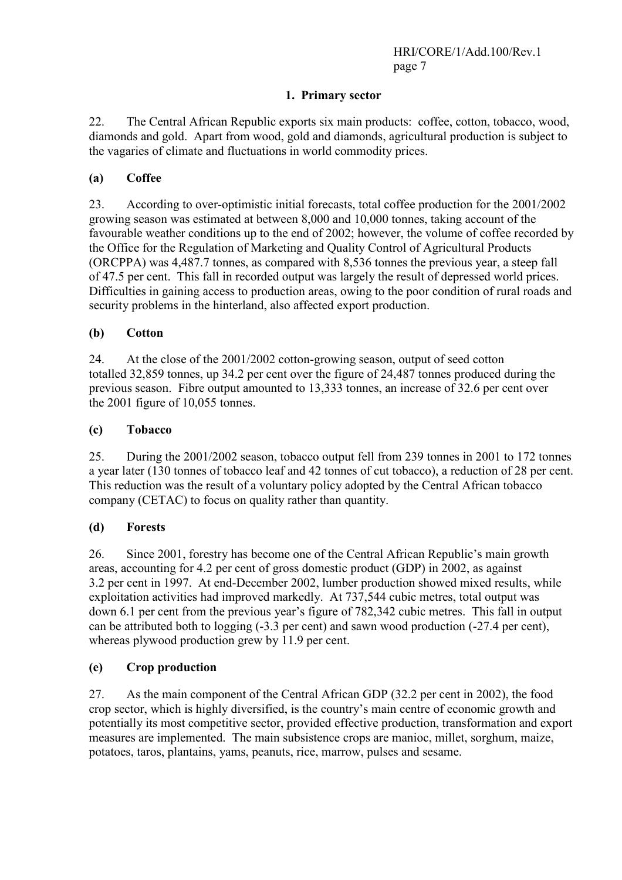## 1. Primary sector

22. The Central African Republic exports six main products: coffee, cotton, tobacco, wood, diamonds and gold. Apart from wood, gold and diamonds, agricultural production is subject to the vagaries of climate and fluctuations in world commodity prices.

## (a) Coffee

23. According to over-optimistic initial forecasts, total coffee production for the 2001/2002 growing season was estimated at between 8,000 and 10,000 tonnes, taking account of the favourable weather conditions up to the end of 2002; however, the volume of coffee recorded by the Office for the Regulation of Marketing and Quality Control of Agricultural Products (ORCPPA) was 4,487.7 tonnes, as compared with 8,536 tonnes the previous year, a steep fall of 47.5 per cent. This fall in recorded output was largely the result of depressed world prices. Difficulties in gaining access to production areas, owing to the poor condition of rural roads and security problems in the hinterland, also affected export production.

## (b) Cotton

24. At the close of the 2001/2002 cotton-growing season, output of seed cotton totalled 32,859 tonnes, up 34.2 per cent over the figure of 24,487 tonnes produced during the previous season. Fibre output amounted to 13,333 tonnes, an increase of 32.6 per cent over the 2001 figure of 10,055 tonnes.

## (c) Tobacco

25. During the 2001/2002 season, tobacco output fell from 239 tonnes in 2001 to 172 tonnes a year later (130 tonnes of tobacco leaf and 42 tonnes of cut tobacco), a reduction of 28 per cent. This reduction was the result of a voluntary policy adopted by the Central African tobacco company (CETAC) to focus on quality rather than quantity.

#### (d) Forests

26. Since 2001, forestry has become one of the Central African Republic's main growth areas, accounting for 4.2 per cent of gross domestic product (GDP) in 2002, as against 3.2 per cent in 1997. At end-December 2002, lumber production showed mixed results, while exploitation activities had improved markedly. At 737,544 cubic metres, total output was down 6.1 per cent from the previous year's figure of 782,342 cubic metres. This fall in output can be attributed both to logging (-3.3 per cent) and sawn wood production (-27.4 per cent), whereas plywood production grew by 11.9 per cent.

#### (e) Crop production

27. As the main component of the Central African GDP (32.2 per cent in 2002), the food crop sector, which is highly diversified, is the country's main centre of economic growth and potentially its most competitive sector, provided effective production, transformation and export measures are implemented. The main subsistence crops are manioc, millet, sorghum, maize, potatoes, taros, plantains, yams, peanuts, rice, marrow, pulses and sesame.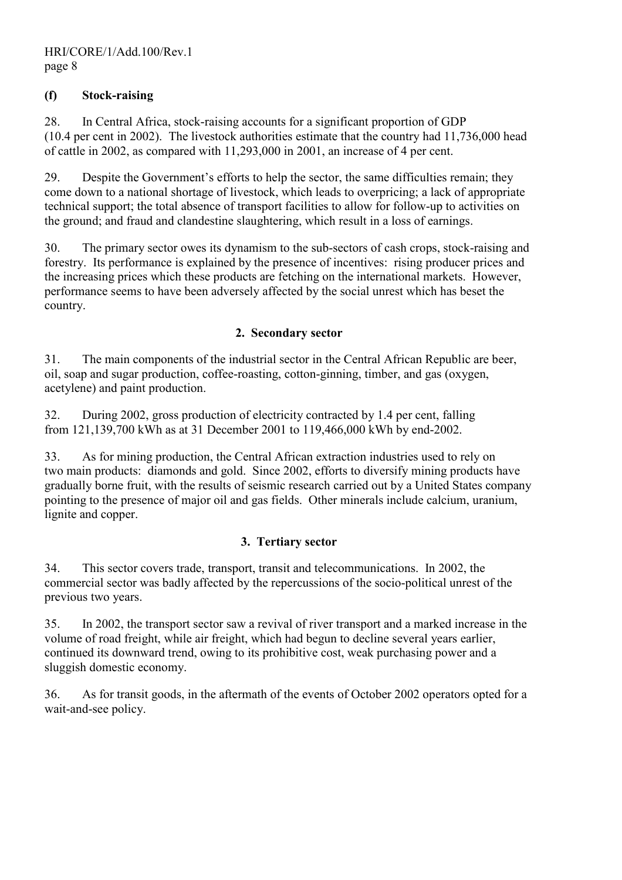## (f) Stock-raising

28. In Central Africa, stock-raising accounts for a significant proportion of GDP (10.4 per cent in 2002). The livestock authorities estimate that the country had 11,736,000 head of cattle in 2002, as compared with 11,293,000 in 2001, an increase of 4 per cent.

29. Despite the Government's efforts to help the sector, the same difficulties remain; they come down to a national shortage of livestock, which leads to overpricing; a lack of appropriate technical support; the total absence of transport facilities to allow for follow-up to activities on the ground; and fraud and clandestine slaughtering, which result in a loss of earnings.

30. The primary sector owes its dynamism to the sub-sectors of cash crops, stock-raising and forestry. Its performance is explained by the presence of incentives: rising producer prices and the increasing prices which these products are fetching on the international markets. However, performance seems to have been adversely affected by the social unrest which has beset the country.

#### 2. Secondary sector

31. The main components of the industrial sector in the Central African Republic are beer, oil, soap and sugar production, coffee-roasting, cotton-ginning, timber, and gas (oxygen, acetylene) and paint production.

32. During 2002, gross production of electricity contracted by 1.4 per cent, falling from 121,139,700 kWh as at 31 December 2001 to 119,466,000 kWh by end-2002.

33. As for mining production, the Central African extraction industries used to rely on two main products: diamonds and gold. Since 2002, efforts to diversify mining products have gradually borne fruit, with the results of seismic research carried out by a United States company pointing to the presence of major oil and gas fields. Other minerals include calcium, uranium, lignite and copper.

#### 3. Tertiary sector

34. This sector covers trade, transport, transit and telecommunications. In 2002, the commercial sector was badly affected by the repercussions of the socio-political unrest of the previous two years.

35. In 2002, the transport sector saw a revival of river transport and a marked increase in the volume of road freight, while air freight, which had begun to decline several years earlier, continued its downward trend, owing to its prohibitive cost, weak purchasing power and a sluggish domestic economy.

36. As for transit goods, in the aftermath of the events of October 2002 operators opted for a wait-and-see policy.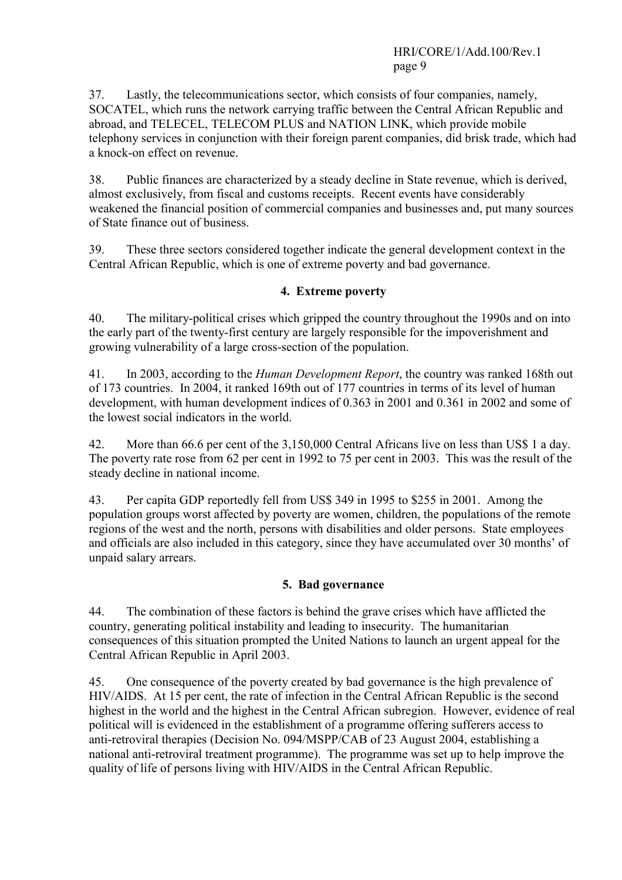37. Lastly, the telecommunications sector, which consists of four companies, namely, SOCATEL, which runs the network carrying traffic between the Central African Republic and abroad, and TELECEL, TELECOM PLUS and NATION LINK, which provide mobile telephony services in conjunction with their foreign parent companies, did brisk trade, which had a knock-on effect on revenue.

38. Public finances are characterized by a steady decline in State revenue, which is derived, almost exclusively, from fiscal and customs receipts. Recent events have considerably weakened the financial position of commercial companies and businesses and, put many sources of State finance out of business.

39. These three sectors considered together indicate the general development context in the Central African Republic, which is one of extreme poverty and bad governance.

## 4. Extreme poverty

40. The military-political crises which gripped the country throughout the 1990s and on into the early part of the twenty-first century are largely responsible for the impoverishment and growing vulnerability of a large cross-section of the population.

41. In 2003, according to the *Human Development Report*, the country was ranked 168th out of 173 countries. In 2004, it ranked 169th out of 177 countries in terms of its level of human development, with human development indices of 0.363 in 2001 and 0.361 in 2002 and some of the lowest social indicators in the world.

42. More than 66.6 per cent of the 3,150,000 Central Africans live on less than US\$ 1 a day. The poverty rate rose from 62 per cent in 1992 to 75 per cent in 2003. This was the result of the steady decline in national income.

43. Per capita GDP reportedly fell from US\$ 349 in 1995 to \$255 in 2001. Among the population groups worst affected by poverty are women, children, the populations of the remote regions of the west and the north, persons with disabilities and older persons. State employees and officials are also included in this category, since they have accumulated over 30 months' of unpaid salary arrears.

#### 5. Bad governance

44. The combination of these factors is behind the grave crises which have afflicted the country, generating political instability and leading to insecurity. The humanitarian consequences of this situation prompted the United Nations to launch an urgent appeal for the Central African Republic in April 2003.

45. One consequence of the poverty created by bad governance is the high prevalence of HIV/AIDS. At 15 per cent, the rate of infection in the Central African Republic is the second highest in the world and the highest in the Central African subregion. However, evidence of real political will is evidenced in the establishment of a programme offering sufferers access to anti-retroviral therapies (Decision No. 094/MSPP/CAB of 23 August 2004, establishing a national anti-retroviral treatment programme). The programme was set up to help improve the quality of life of persons living with HIV/AIDS in the Central African Republic.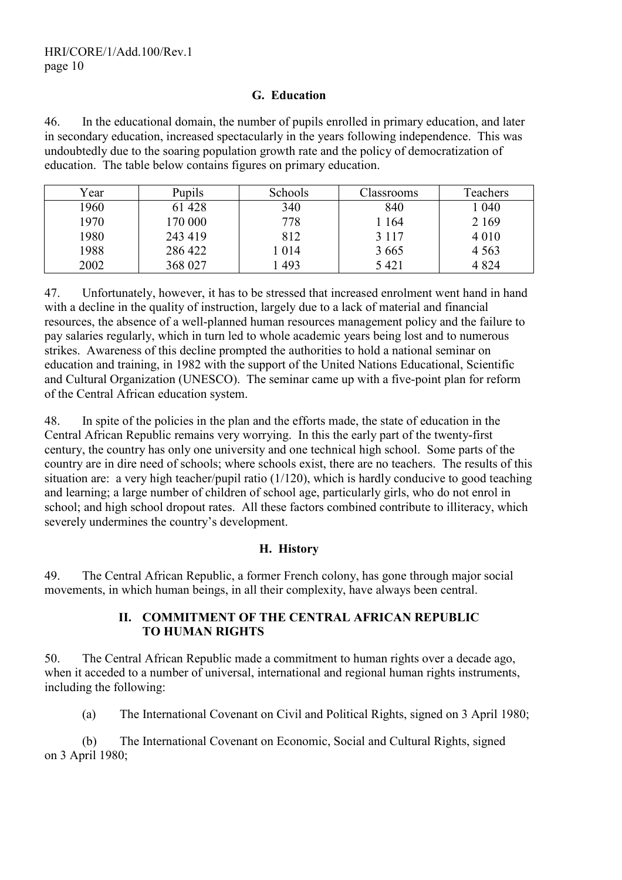#### G. Education

46. In the educational domain, the number of pupils enrolled in primary education, and later in secondary education, increased spectacularly in the years following independence. This was undoubtedly due to the soaring population growth rate and the policy of democratization of education. The table below contains figures on primary education.

| Year | Pupils  | Schools | Classrooms | Teachers |
|------|---------|---------|------------|----------|
| 1960 | 61 428  | 340     | 840        | 1040     |
| 1970 | 170 000 | 778     | 1 164      | 2 1 6 9  |
| 1980 | 243 419 | 812     | 3 1 1 7    | 4 0 1 0  |
| 1988 | 286 422 | l 014   | 3 6 6 5    | 4 5 6 3  |
| 2002 | 368 027 | 493     | 5421       | 4 8 2 4  |

47. Unfortunately, however, it has to be stressed that increased enrolment went hand in hand with a decline in the quality of instruction, largely due to a lack of material and financial resources, the absence of a well-planned human resources management policy and the failure to pay salaries regularly, which in turn led to whole academic years being lost and to numerous strikes. Awareness of this decline prompted the authorities to hold a national seminar on education and training, in 1982 with the support of the United Nations Educational, Scientific and Cultural Organization (UNESCO). The seminar came up with a five-point plan for reform of the Central African education system.

48. In spite of the policies in the plan and the efforts made, the state of education in the Central African Republic remains very worrying. In this the early part of the twenty-first century, the country has only one university and one technical high school. Some parts of the country are in dire need of schools; where schools exist, there are no teachers. The results of this situation are: a very high teacher/pupil ratio (1/120), which is hardly conducive to good teaching and learning; a large number of children of school age, particularly girls, who do not enrol in school; and high school dropout rates. All these factors combined contribute to illiteracy, which severely undermines the country's development.

#### H. History

49. The Central African Republic, a former French colony, has gone through major social movements, in which human beings, in all their complexity, have always been central.

#### II. COMMITMENT OF THE CENTRAL AFRICAN REPUBLIC TO HUMAN RIGHTS

50. The Central African Republic made a commitment to human rights over a decade ago, when it acceded to a number of universal, international and regional human rights instruments, including the following:

(a) The International Covenant on Civil and Political Rights, signed on 3 April 1980;

 (b) The International Covenant on Economic, Social and Cultural Rights, signed on 3 April 1980;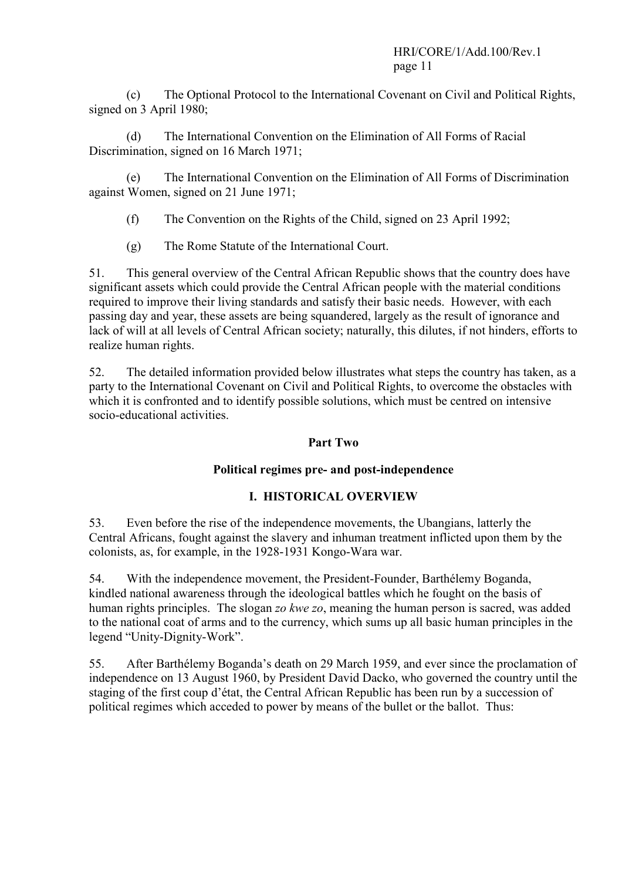(c) The Optional Protocol to the International Covenant on Civil and Political Rights, signed on 3 April 1980;

 (d) The International Convention on the Elimination of All Forms of Racial Discrimination, signed on 16 March 1971;

 (e) The International Convention on the Elimination of All Forms of Discrimination against Women, signed on 21 June 1971;

- (f) The Convention on the Rights of the Child, signed on 23 April 1992;
- (g) The Rome Statute of the International Court.

51. This general overview of the Central African Republic shows that the country does have significant assets which could provide the Central African people with the material conditions required to improve their living standards and satisfy their basic needs. However, with each passing day and year, these assets are being squandered, largely as the result of ignorance and lack of will at all levels of Central African society; naturally, this dilutes, if not hinders, efforts to realize human rights.

52. The detailed information provided below illustrates what steps the country has taken, as a party to the International Covenant on Civil and Political Rights, to overcome the obstacles with which it is confronted and to identify possible solutions, which must be centred on intensive socio-educational activities.

## Part Two

## Political regimes pre- and post-independence

## I. HISTORICAL OVERVIEW

53. Even before the rise of the independence movements, the Ubangians, latterly the Central Africans, fought against the slavery and inhuman treatment inflicted upon them by the colonists, as, for example, in the 1928-1931 Kongo-Wara war.

54. With the independence movement, the President-Founder, Barthélemy Boganda, kindled national awareness through the ideological battles which he fought on the basis of human rights principles. The slogan zo kwe zo, meaning the human person is sacred, was added to the national coat of arms and to the currency, which sums up all basic human principles in the legend "Unity-Dignity-Work".

55. After Barthélemy Boganda's death on 29 March 1959, and ever since the proclamation of independence on 13 August 1960, by President David Dacko, who governed the country until the staging of the first coup d'état, the Central African Republic has been run by a succession of political regimes which acceded to power by means of the bullet or the ballot. Thus: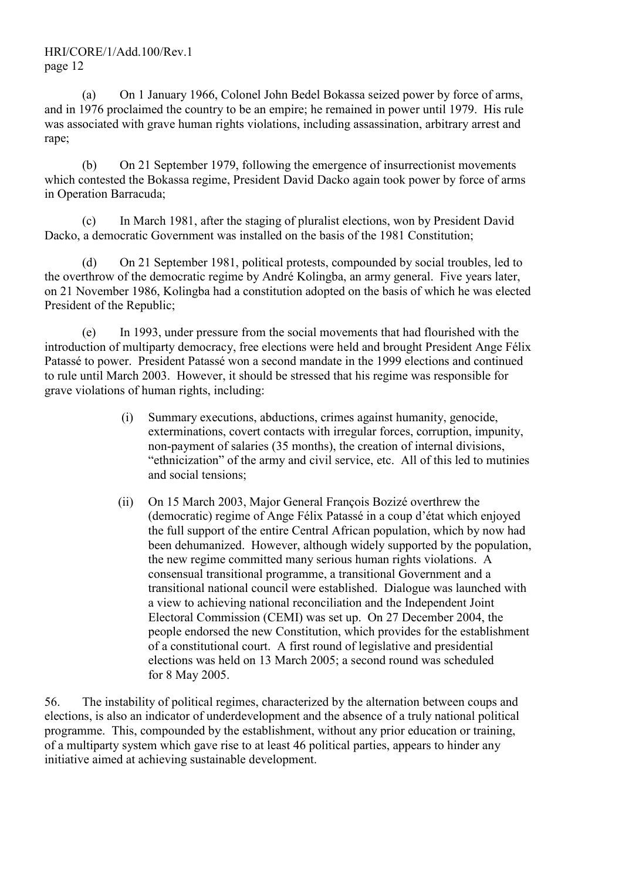(a) On 1 January 1966, Colonel John Bedel Bokassa seized power by force of arms, and in 1976 proclaimed the country to be an empire; he remained in power until 1979. His rule was associated with grave human rights violations, including assassination, arbitrary arrest and rape;

 (b) On 21 September 1979, following the emergence of insurrectionist movements which contested the Bokassa regime, President David Dacko again took power by force of arms in Operation Barracuda;

 (c) In March 1981, after the staging of pluralist elections, won by President David Dacko, a democratic Government was installed on the basis of the 1981 Constitution;

 (d) On 21 September 1981, political protests, compounded by social troubles, led to the overthrow of the democratic regime by André Kolingba, an army general. Five years later, on 21 November 1986, Kolingba had a constitution adopted on the basis of which he was elected President of the Republic;

 (e) In 1993, under pressure from the social movements that had flourished with the introduction of multiparty democracy, free elections were held and brought President Ange Félix Patassé to power. President Patassé won a second mandate in the 1999 elections and continued to rule until March 2003. However, it should be stressed that his regime was responsible for grave violations of human rights, including:

- (i) Summary executions, abductions, crimes against humanity, genocide, exterminations, covert contacts with irregular forces, corruption, impunity, non-payment of salaries (35 months), the creation of internal divisions, "ethnicization" of the army and civil service, etc. All of this led to mutinies and social tensions;
- (ii) On 15 March 2003, Major General François Bozizé overthrew the (democratic) regime of Ange Félix Patassé in a coup d'état which enjoyed the full support of the entire Central African population, which by now had been dehumanized. However, although widely supported by the population, the new regime committed many serious human rights violations. A consensual transitional programme, a transitional Government and a transitional national council were established. Dialogue was launched with a view to achieving national reconciliation and the Independent Joint Electoral Commission (CEMI) was set up. On 27 December 2004, the people endorsed the new Constitution, which provides for the establishment of a constitutional court. A first round of legislative and presidential elections was held on 13 March 2005; a second round was scheduled for 8 May 2005.

56. The instability of political regimes, characterized by the alternation between coups and elections, is also an indicator of underdevelopment and the absence of a truly national political programme. This, compounded by the establishment, without any prior education or training, of a multiparty system which gave rise to at least 46 political parties, appears to hinder any initiative aimed at achieving sustainable development.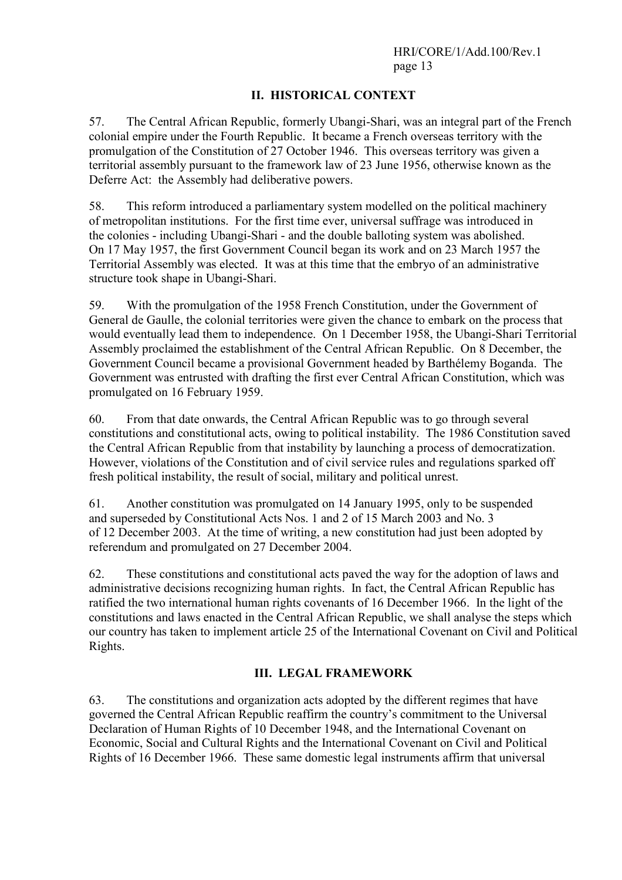## II. HISTORICAL CONTEXT

57. The Central African Republic, formerly Ubangi-Shari, was an integral part of the French colonial empire under the Fourth Republic. It became a French overseas territory with the promulgation of the Constitution of 27 October 1946. This overseas territory was given a territorial assembly pursuant to the framework law of 23 June 1956, otherwise known as the Deferre Act: the Assembly had deliberative powers.

58. This reform introduced a parliamentary system modelled on the political machinery of metropolitan institutions. For the first time ever, universal suffrage was introduced in the colonies - including Ubangi-Shari - and the double balloting system was abolished. On 17 May 1957, the first Government Council began its work and on 23 March 1957 the Territorial Assembly was elected. It was at this time that the embryo of an administrative structure took shape in Ubangi-Shari.

59. With the promulgation of the 1958 French Constitution, under the Government of General de Gaulle, the colonial territories were given the chance to embark on the process that would eventually lead them to independence. On 1 December 1958, the Ubangi-Shari Territorial Assembly proclaimed the establishment of the Central African Republic. On 8 December, the Government Council became a provisional Government headed by Barthélemy Boganda. The Government was entrusted with drafting the first ever Central African Constitution, which was promulgated on 16 February 1959.

60. From that date onwards, the Central African Republic was to go through several constitutions and constitutional acts, owing to political instability. The 1986 Constitution saved the Central African Republic from that instability by launching a process of democratization. However, violations of the Constitution and of civil service rules and regulations sparked off fresh political instability, the result of social, military and political unrest.

61. Another constitution was promulgated on 14 January 1995, only to be suspended and superseded by Constitutional Acts Nos. 1 and 2 of 15 March 2003 and No. 3 of 12 December 2003. At the time of writing, a new constitution had just been adopted by referendum and promulgated on 27 December 2004.

62. These constitutions and constitutional acts paved the way for the adoption of laws and administrative decisions recognizing human rights. In fact, the Central African Republic has ratified the two international human rights covenants of 16 December 1966. In the light of the constitutions and laws enacted in the Central African Republic, we shall analyse the steps which our country has taken to implement article 25 of the International Covenant on Civil and Political Rights.

## III. LEGAL FRAMEWORK

63. The constitutions and organization acts adopted by the different regimes that have governed the Central African Republic reaffirm the country's commitment to the Universal Declaration of Human Rights of 10 December 1948, and the International Covenant on Economic, Social and Cultural Rights and the International Covenant on Civil and Political Rights of 16 December 1966. These same domestic legal instruments affirm that universal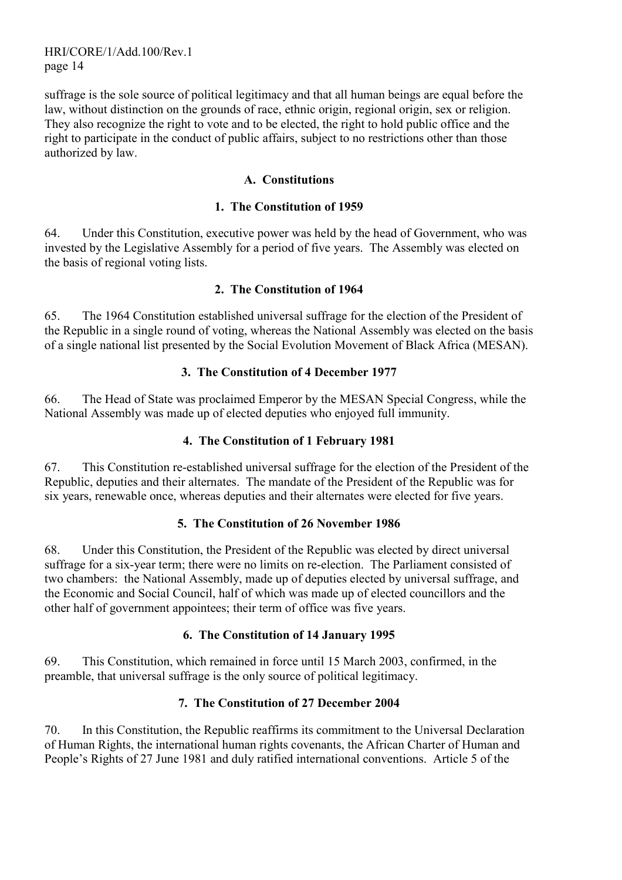suffrage is the sole source of political legitimacy and that all human beings are equal before the law, without distinction on the grounds of race, ethnic origin, regional origin, sex or religion. They also recognize the right to vote and to be elected, the right to hold public office and the right to participate in the conduct of public affairs, subject to no restrictions other than those authorized by law.

## A. Constitutions

#### 1. The Constitution of 1959

64. Under this Constitution, executive power was held by the head of Government, who was invested by the Legislative Assembly for a period of five years. The Assembly was elected on the basis of regional voting lists.

## 2. The Constitution of 1964

65. The 1964 Constitution established universal suffrage for the election of the President of the Republic in a single round of voting, whereas the National Assembly was elected on the basis of a single national list presented by the Social Evolution Movement of Black Africa (MESAN).

## 3. The Constitution of 4 December 1977

66. The Head of State was proclaimed Emperor by the MESAN Special Congress, while the National Assembly was made up of elected deputies who enjoyed full immunity.

## 4. The Constitution of 1 February 1981

67. This Constitution re-established universal suffrage for the election of the President of the Republic, deputies and their alternates. The mandate of the President of the Republic was for six years, renewable once, whereas deputies and their alternates were elected for five years.

#### 5. The Constitution of 26 November 1986

68. Under this Constitution, the President of the Republic was elected by direct universal suffrage for a six-year term; there were no limits on re-election. The Parliament consisted of two chambers: the National Assembly, made up of deputies elected by universal suffrage, and the Economic and Social Council, half of which was made up of elected councillors and the other half of government appointees; their term of office was five years.

#### 6. The Constitution of 14 January 1995

69. This Constitution, which remained in force until 15 March 2003, confirmed, in the preamble, that universal suffrage is the only source of political legitimacy.

## 7. The Constitution of 27 December 2004

70. In this Constitution, the Republic reaffirms its commitment to the Universal Declaration of Human Rights, the international human rights covenants, the African Charter of Human and People's Rights of 27 June 1981 and duly ratified international conventions. Article 5 of the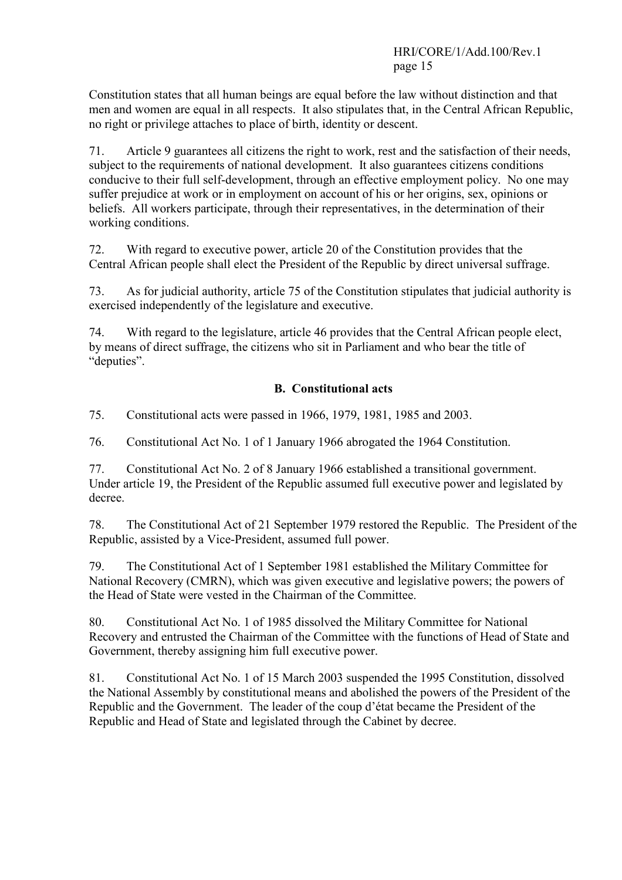Constitution states that all human beings are equal before the law without distinction and that men and women are equal in all respects. It also stipulates that, in the Central African Republic, no right or privilege attaches to place of birth, identity or descent.

71. Article 9 guarantees all citizens the right to work, rest and the satisfaction of their needs, subject to the requirements of national development. It also guarantees citizens conditions conducive to their full self-development, through an effective employment policy. No one may suffer prejudice at work or in employment on account of his or her origins, sex, opinions or beliefs. All workers participate, through their representatives, in the determination of their working conditions.

72. With regard to executive power, article 20 of the Constitution provides that the Central African people shall elect the President of the Republic by direct universal suffrage.

73. As for judicial authority, article 75 of the Constitution stipulates that judicial authority is exercised independently of the legislature and executive.

74. With regard to the legislature, article 46 provides that the Central African people elect, by means of direct suffrage, the citizens who sit in Parliament and who bear the title of "deputies".

## B. Constitutional acts

75. Constitutional acts were passed in 1966, 1979, 1981, 1985 and 2003.

76. Constitutional Act No. 1 of 1 January 1966 abrogated the 1964 Constitution.

77. Constitutional Act No. 2 of 8 January 1966 established a transitional government. Under article 19, the President of the Republic assumed full executive power and legislated by decree.

78. The Constitutional Act of 21 September 1979 restored the Republic. The President of the Republic, assisted by a Vice-President, assumed full power.

79. The Constitutional Act of 1 September 1981 established the Military Committee for National Recovery (CMRN), which was given executive and legislative powers; the powers of the Head of State were vested in the Chairman of the Committee.

80. Constitutional Act No. 1 of 1985 dissolved the Military Committee for National Recovery and entrusted the Chairman of the Committee with the functions of Head of State and Government, thereby assigning him full executive power.

81. Constitutional Act No. 1 of 15 March 2003 suspended the 1995 Constitution, dissolved the National Assembly by constitutional means and abolished the powers of the President of the Republic and the Government. The leader of the coup d'état became the President of the Republic and Head of State and legislated through the Cabinet by decree.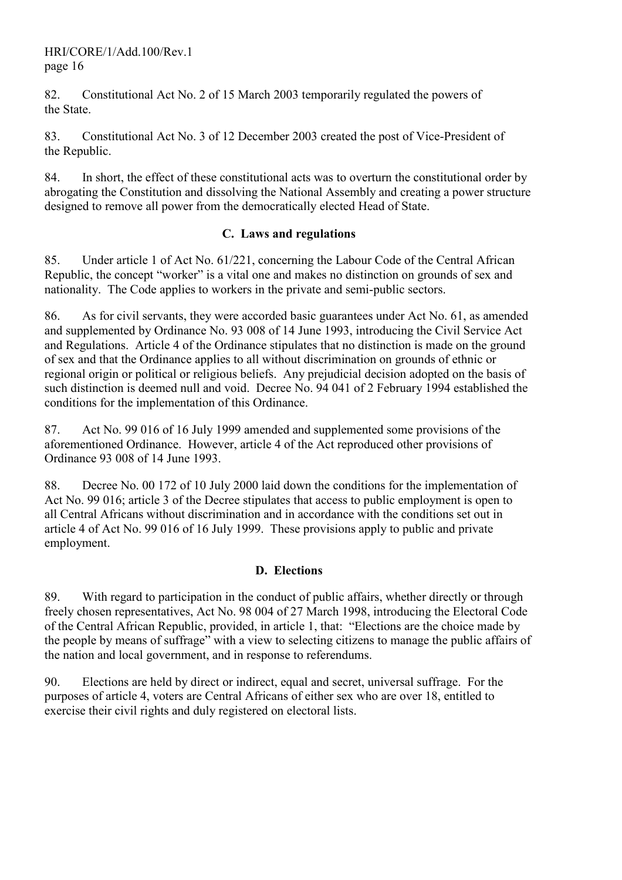82. Constitutional Act No. 2 of 15 March 2003 temporarily regulated the powers of the State.

83. Constitutional Act No. 3 of 12 December 2003 created the post of Vice-President of the Republic.

84. In short, the effect of these constitutional acts was to overturn the constitutional order by abrogating the Constitution and dissolving the National Assembly and creating a power structure designed to remove all power from the democratically elected Head of State.

## C. Laws and regulations

85. Under article 1 of Act No. 61/221, concerning the Labour Code of the Central African Republic, the concept "worker" is a vital one and makes no distinction on grounds of sex and nationality. The Code applies to workers in the private and semi-public sectors.

86. As for civil servants, they were accorded basic guarantees under Act No. 61, as amended and supplemented by Ordinance No. 93 008 of 14 June 1993, introducing the Civil Service Act and Regulations. Article 4 of the Ordinance stipulates that no distinction is made on the ground of sex and that the Ordinance applies to all without discrimination on grounds of ethnic or regional origin or political or religious beliefs. Any prejudicial decision adopted on the basis of such distinction is deemed null and void. Decree No. 94 041 of 2 February 1994 established the conditions for the implementation of this Ordinance.

87. Act No. 99 016 of 16 July 1999 amended and supplemented some provisions of the aforementioned Ordinance. However, article 4 of the Act reproduced other provisions of Ordinance 93 008 of 14 June 1993.

88. Decree No. 00 172 of 10 July 2000 laid down the conditions for the implementation of Act No. 99 016; article 3 of the Decree stipulates that access to public employment is open to all Central Africans without discrimination and in accordance with the conditions set out in article 4 of Act No. 99 016 of 16 July 1999. These provisions apply to public and private employment.

#### D. Elections

89. With regard to participation in the conduct of public affairs, whether directly or through freely chosen representatives, Act No. 98 004 of 27 March 1998, introducing the Electoral Code of the Central African Republic, provided, in article 1, that: "Elections are the choice made by the people by means of suffrage" with a view to selecting citizens to manage the public affairs of the nation and local government, and in response to referendums.

90. Elections are held by direct or indirect, equal and secret, universal suffrage. For the purposes of article 4, voters are Central Africans of either sex who are over 18, entitled to exercise their civil rights and duly registered on electoral lists.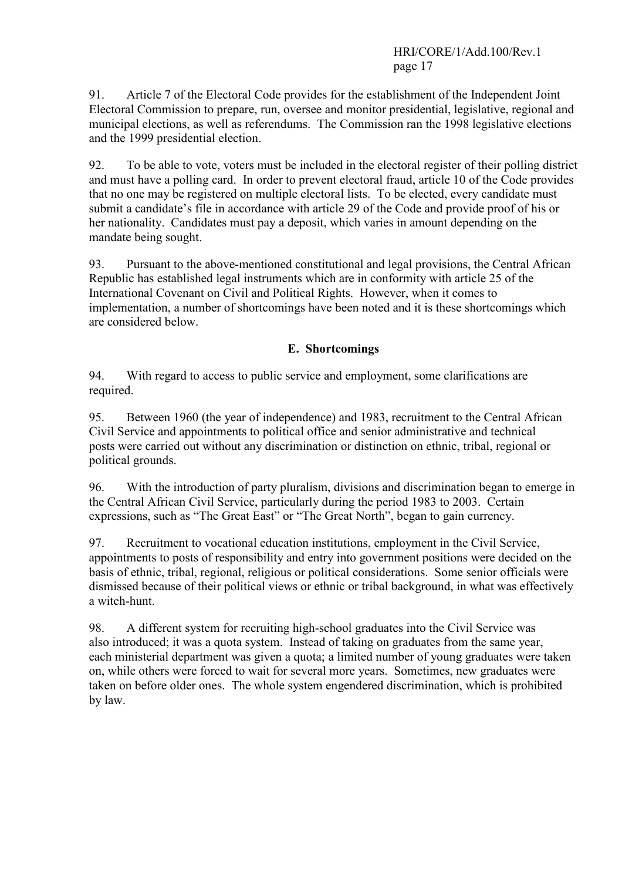91. Article 7 of the Electoral Code provides for the establishment of the Independent Joint Electoral Commission to prepare, run, oversee and monitor presidential, legislative, regional and municipal elections, as well as referendums. The Commission ran the 1998 legislative elections and the 1999 presidential election.

92. To be able to vote, voters must be included in the electoral register of their polling district and must have a polling card. In order to prevent electoral fraud, article 10 of the Code provides that no one may be registered on multiple electoral lists. To be elected, every candidate must submit a candidate's file in accordance with article 29 of the Code and provide proof of his or her nationality. Candidates must pay a deposit, which varies in amount depending on the mandate being sought.

93. Pursuant to the above-mentioned constitutional and legal provisions, the Central African Republic has established legal instruments which are in conformity with article 25 of the International Covenant on Civil and Political Rights. However, when it comes to implementation, a number of shortcomings have been noted and it is these shortcomings which are considered below.

## E. Shortcomings

94. With regard to access to public service and employment, some clarifications are required.

95. Between 1960 (the year of independence) and 1983, recruitment to the Central African Civil Service and appointments to political office and senior administrative and technical posts were carried out without any discrimination or distinction on ethnic, tribal, regional or political grounds.

96. With the introduction of party pluralism, divisions and discrimination began to emerge in the Central African Civil Service, particularly during the period 1983 to 2003. Certain expressions, such as "The Great East" or "The Great North", began to gain currency.

97. Recruitment to vocational education institutions, employment in the Civil Service, appointments to posts of responsibility and entry into government positions were decided on the basis of ethnic, tribal, regional, religious or political considerations. Some senior officials were dismissed because of their political views or ethnic or tribal background, in what was effectively a witch-hunt.

98. A different system for recruiting high-school graduates into the Civil Service was also introduced; it was a quota system. Instead of taking on graduates from the same year, each ministerial department was given a quota; a limited number of young graduates were taken on, while others were forced to wait for several more years. Sometimes, new graduates were taken on before older ones. The whole system engendered discrimination, which is prohibited by law.